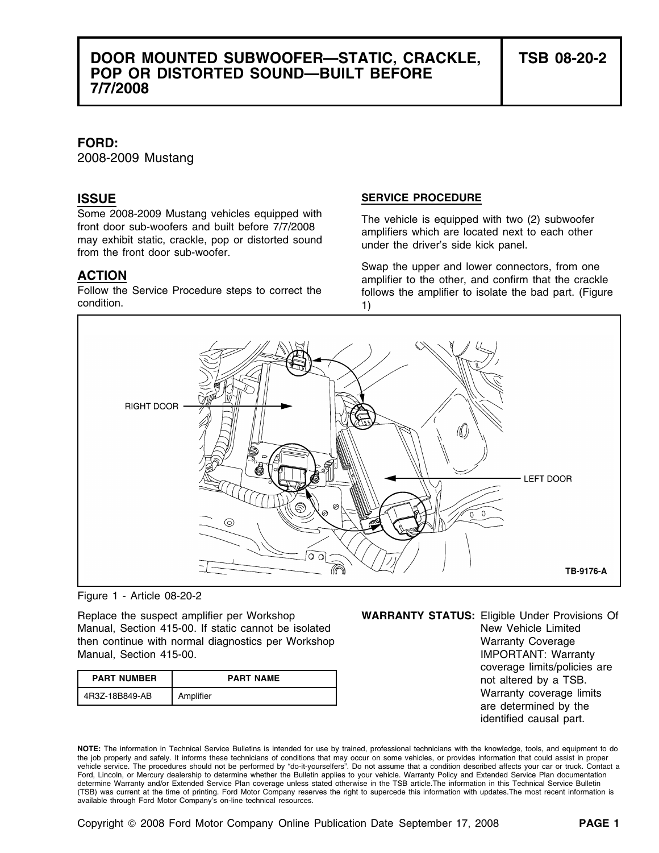## **DOOR MOUNTED SUBWOOFER—STATIC, CRACKLE, TSB 08-20-2 POP OR DISTORTED SOUND—BUILT BEFORE 7/7/2008**

### **FORD:**

2008-2009 Mustang

Some 2008-2009 Mustang vehicles equipped with<br>front door sub-woofers and built before 7/7/2008<br>may exhibit static, crackle, pop or distorted sound<br>from the front door sub-woofer.<br>from the front door sub-woofer.

condition. 1)

### **ISSUE SERVICE PROCEDURE**

**ACTION**<br>
Swap the upper and lower connectors, from one<br>
Follow the Service Procedure steps to correct the **amplifier** to the other, and confirm that the crackle<br>
follows the amplifier to isolate the bad part. (Figure follows the amplifier to isolate the bad part. (Figure



Figure 1 - Article 08-20-2

Manual, Section 415-00. If static cannot be isolated New Yehicle Limited New Vehicle Limited then continue with normal diagnostics per Workshop Warranty Coverage Warranty Coverage Manual, Section 415-00. IMPORTANT: Warranty

| <b>PART NUMBER</b> | <b>PART NAME</b> |
|--------------------|------------------|
| 4R3Z-18B849-AB     | Amplifier        |

Replace the suspect amplifier per Workshop **WARRANTY STATUS:** Eligible Under Provisions Of

coverage limits/policies are not altered by a TSB. Warranty coverage limits are determined by the identified causal part.

**NOTE:** The information in Technical Service Bulletins is intended for use by trained, professional technicians with the knowledge, tools, and equipment to do the job properly and safely. It informs these technicians of conditions that may occur on some vehicles, or provides information that could assist in proper vehicle service. The procedures should not be performed by "do-it-yourselfers". Do not assume that a condition described affects your car or truck. Contact a Ford, Lincoln, or Mercury dealership to determine whether the Bulletin applies to your vehicle. Warranty Policy and Extended Service Plan documentation determine Warranty and/or Extended Service Plan coverage unless stated otherwise in the TSB article.The information in this Technical Service Bulletin (TSB) was current at the time of printing. Ford Motor Company reserves the right to supercede this information with updates.The most recent information is available through Ford Motor Company's on-line technical resources.